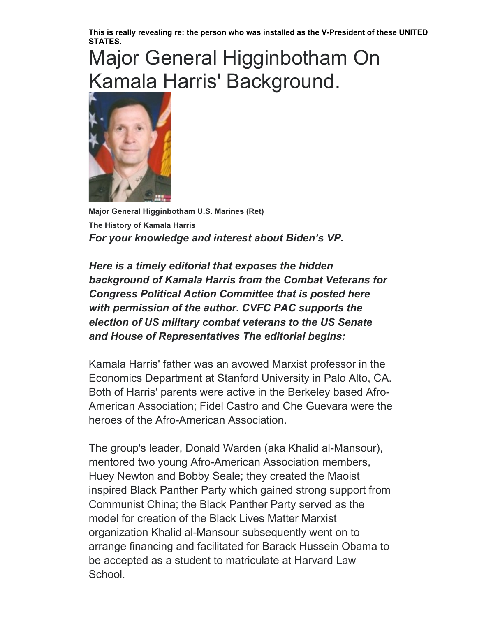**This is really revealing re: the person who was installed as the V-President of these UNITED STATES.**

## Major General Higginbotham On Kamala Harris' Background.



**Major General Higginbotham U.S. Marines (Ret) The History of Kamala Harris** *For your knowledge and interest about Biden's VP.*

*Here is a timely editorial that exposes the hidden background of Kamala Harris from the Combat Veterans for Congress Political Action Committee that is posted here with permission of the author. CVFC PAC supports the election of US military combat veterans to the US Senate and House of Representatives The editorial begins:*

Kamala Harris' father was an avowed Marxist professor in the Economics Department at Stanford University in Palo Alto, CA. Both of Harris' parents were active in the Berkeley based Afro-American Association; Fidel Castro and Che Guevara were the heroes of the Afro-American Association.

The group's leader, Donald Warden (aka Khalid al-Mansour), mentored two young Afro-American Association members, Huey Newton and Bobby Seale; they created the Maoist inspired Black Panther Party which gained strong support from Communist China; the Black Panther Party served as the model for creation of the Black Lives Matter Marxist organization Khalid al-Mansour subsequently went on to arrange financing and facilitated for Barack Hussein Obama to be accepted as a student to matriculate at Harvard Law School.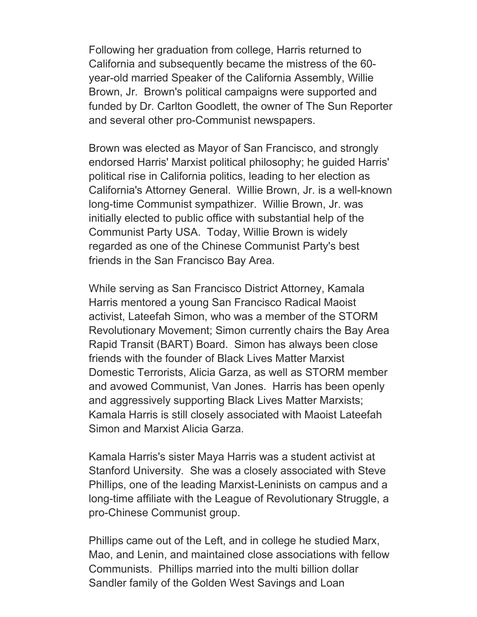Following her graduation from college, Harris returned to California and subsequently became the mistress of the 60 year-old married Speaker of the California Assembly, Willie Brown, Jr. Brown's political campaigns were supported and funded by Dr. Carlton Goodlett, the owner of The Sun Reporter and several other pro-Communist newspapers.

Brown was elected as Mayor of San Francisco, and strongly endorsed Harris' Marxist political philosophy; he guided Harris' political rise in California politics, leading to her election as California's Attorney General. Willie Brown, Jr. is a well-known long-time Communist sympathizer. Willie Brown, Jr. was initially elected to public office with substantial help of the Communist Party USA. Today, Willie Brown is widely regarded as one of the Chinese Communist Party's best friends in the San Francisco Bay Area.

While serving as San Francisco District Attorney, Kamala Harris mentored a young San Francisco Radical Maoist activist, Lateefah Simon, who was a member of the STORM Revolutionary Movement; Simon currently chairs the Bay Area Rapid Transit (BART) Board. Simon has always been close friends with the founder of Black Lives Matter Marxist Domestic Terrorists, Alicia Garza, as well as STORM member and avowed Communist, Van Jones. Harris has been openly and aggressively supporting Black Lives Matter Marxists; Kamala Harris is still closely associated with Maoist Lateefah Simon and Marxist Alicia Garza.

Kamala Harris's sister Maya Harris was a student activist at Stanford University. She was a closely associated with Steve Phillips, one of the leading Marxist-Leninists on campus and a long-time affiliate with the League of Revolutionary Struggle, a pro-Chinese Communist group.

Phillips came out of the Left, and in college he studied Marx, Mao, and Lenin, and maintained close associations with fellow Communists. Phillips married into the multi billion dollar Sandler family of the Golden West Savings and Loan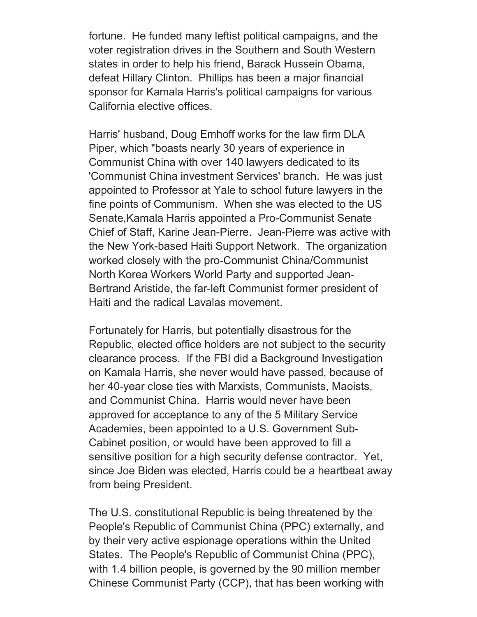fortune. He funded many leftist political campaigns, and the voter registration drives in the Southern and South Western states in order to help his friend, Barack Hussein Obama, defeat Hillary Clinton. Phillips has been a major financial sponsor for Kamala Harris's political campaigns for various California elective offices.

Harris' husband, Doug Emhoff works for the law firm DLA Piper, which "boasts nearly 30 years of experience in Communist China with over 140 lawyers dedicated to its 'Communist China investment Services' branch. He was just appointed to Professor at Yale to school future lawyers in the fine points of Communism. When she was elected to the US Senate,Kamala Harris appointed a Pro-Communist Senate Chief of Staff, Karine Jean-Pierre. Jean-Pierre was active with the New York-based Haiti Support Network. The organization worked closely with the pro-Communist China/Communist North Korea Workers World Party and supported Jean-Bertrand Aristide, the far-left Communist former president of Haiti and the radical Lavalas movement.

Fortunately for Harris, but potentially disastrous for the Republic, elected office holders are not subject to the security clearance process. If the FBI did a Background Investigation on Kamala Harris, she never would have passed, because of her 40-year close ties with Marxists, Communists, Maoists, and Communist China. Harris would never have been approved for acceptance to any of the 5 Military Service Academies, been appointed to a U.S. Government Sub-Cabinet position, or would have been approved to fill a sensitive position for a high security defense contractor. Yet, since Joe Biden was elected, Harris could be a heartbeat away from being President.

The U.S. constitutional Republic is being threatened by the People's Republic of Communist China (PPC) externally, and by their very active espionage operations within the United States. The People's Republic of Communist China (PPC), with 1.4 billion people, is governed by the 90 million member Chinese Communist Party (CCP), that has been working with